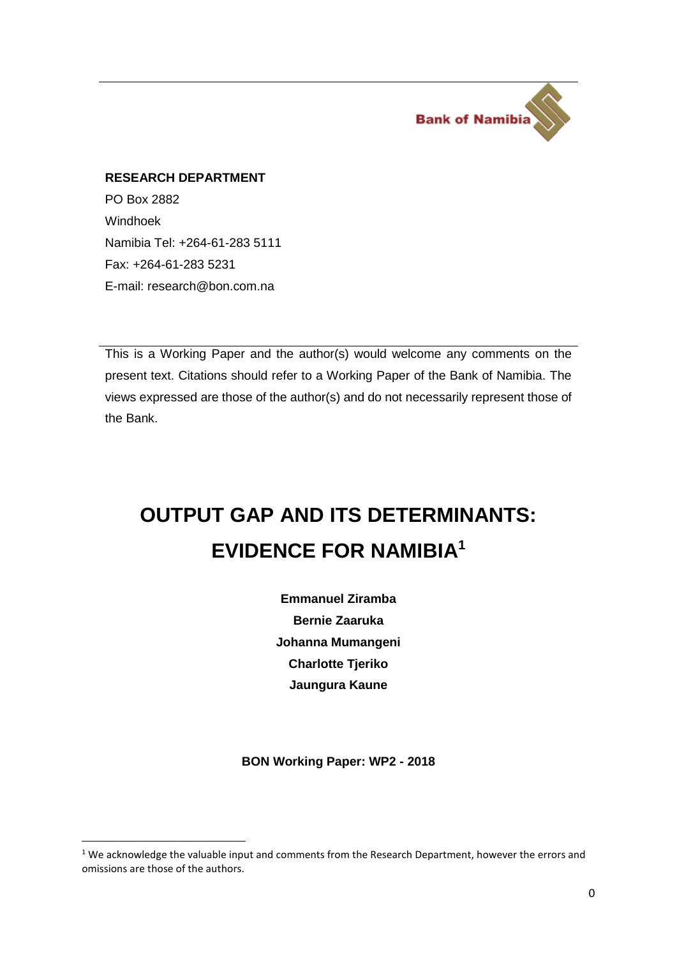

#### **RESEARCH DEPARTMENT**

PO Box 2882 Windhoek Namibia Tel: +264-61-283 5111 Fax: +264-61-283 5231 E-mail: [research@bon.com.na](mailto:research@bon.com.na)

 $\overline{\phantom{a}}$ 

This is a Working Paper and the author(s) would welcome any comments on the present text. Citations should refer to a Working Paper of the Bank of Namibia. The views expressed are those of the author(s) and do not necessarily represent those of the Bank.

# **OUTPUT GAP AND ITS DETERMINANTS: EVIDENCE FOR NAMIBIA<sup>1</sup>**

**Emmanuel Ziramba Bernie Zaaruka Johanna Mumangeni Charlotte Tjeriko Jaungura Kaune**

**BON Working Paper: WP2 - 2018**

 $1$  We acknowledge the valuable input and comments from the Research Department, however the errors and omissions are those of the authors.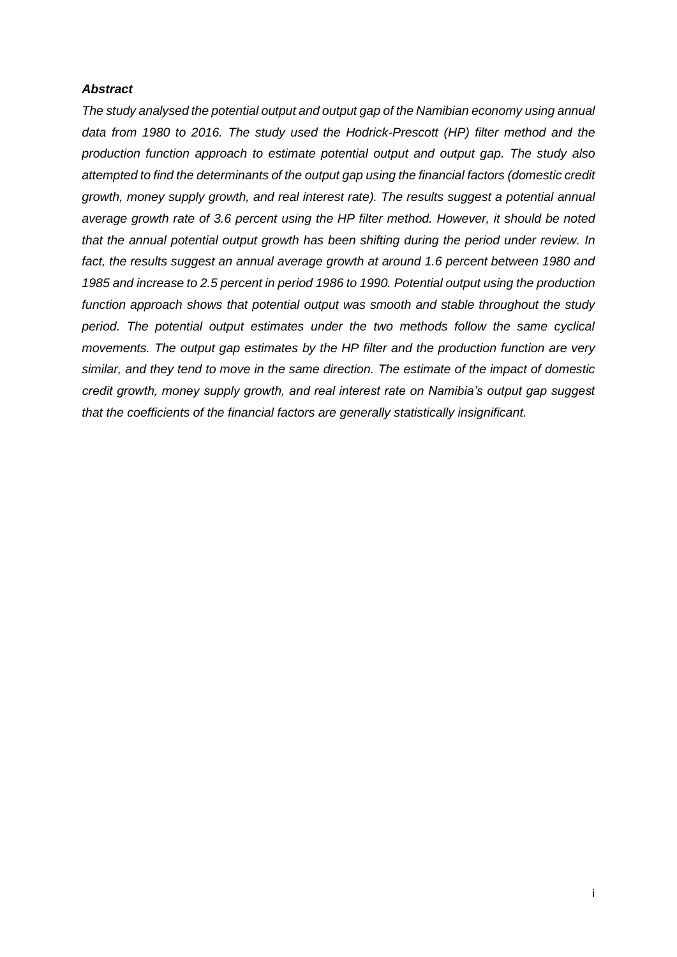#### *Abstract*

*The study analysed the potential output and output gap of the Namibian economy using annual data from 1980 to 2016. The study used the Hodrick-Prescott (HP) filter method and the production function approach to estimate potential output and output gap. The study also attempted to find the determinants of the output gap using the financial factors (domestic credit growth, money supply growth, and real interest rate). The results suggest a potential annual average growth rate of 3.6 percent using the HP filter method. However, it should be noted that the annual potential output growth has been shifting during the period under review. In fact, the results suggest an annual average growth at around 1.6 percent between 1980 and 1985 and increase to 2.5 percent in period 1986 to 1990. Potential output using the production function approach shows that potential output was smooth and stable throughout the study period. The potential output estimates under the two methods follow the same cyclical movements. The output gap estimates by the HP filter and the production function are very similar, and they tend to move in the same direction. The estimate of the impact of domestic credit growth, money supply growth, and real interest rate on Namibia's output gap suggest that the coefficients of the financial factors are generally statistically insignificant.*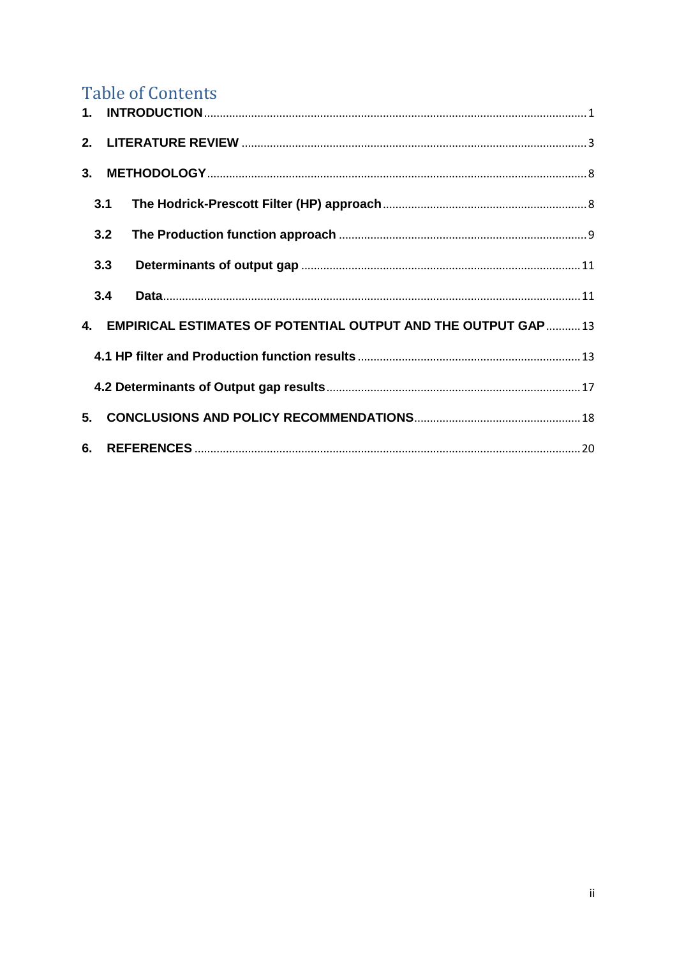## **Table of Contents**

| 3.                                                               |     |  |  |  |  |
|------------------------------------------------------------------|-----|--|--|--|--|
|                                                                  | 3.1 |  |  |  |  |
|                                                                  | 3.2 |  |  |  |  |
|                                                                  | 3.3 |  |  |  |  |
|                                                                  | 3.4 |  |  |  |  |
| 4. EMPIRICAL ESTIMATES OF POTENTIAL OUTPUT AND THE OUTPUT GAP 13 |     |  |  |  |  |
|                                                                  |     |  |  |  |  |
|                                                                  |     |  |  |  |  |
| 5.                                                               |     |  |  |  |  |
|                                                                  |     |  |  |  |  |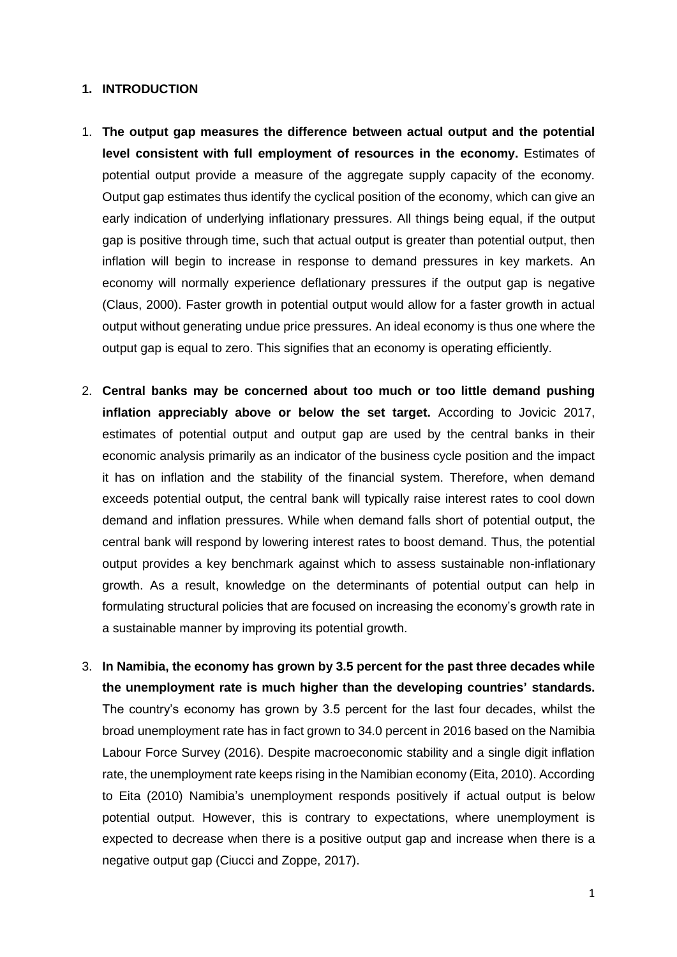#### <span id="page-3-0"></span>**1. INTRODUCTION**

- 1. **The output gap measures the difference between actual output and the potential level consistent with full employment of resources in the economy.** Estimates of potential output provide a measure of the aggregate supply capacity of the economy. Output gap estimates thus identify the cyclical position of the economy, which can give an early indication of underlying inflationary pressures. All things being equal, if the output gap is positive through time, such that actual output is greater than potential output, then inflation will begin to increase in response to demand pressures in key markets. An economy will normally experience deflationary pressures if the output gap is negative (Claus, 2000). Faster growth in potential output would allow for a faster growth in actual output without generating undue price pressures. An ideal economy is thus one where the output gap is equal to zero. This signifies that an economy is operating efficiently.
- 2. **Central banks may be concerned about too much or too little demand pushing inflation appreciably above or below the set target.** According to Jovicic 2017, estimates of potential output and output gap are used by the central banks in their economic analysis primarily as an indicator of the business cycle position and the impact it has on inflation and the stability of the financial system. Therefore, when demand exceeds potential output, the central bank will typically raise interest rates to cool down demand and inflation pressures. While when demand falls short of potential output, the central bank will respond by lowering interest rates to boost demand. Thus, the potential output provides a key benchmark against which to assess sustainable non-inflationary growth. As a result, knowledge on the determinants of potential output can help in formulating structural policies that are focused on increasing the economy's growth rate in a sustainable manner by improving its potential growth.
- 3. **In Namibia, the economy has grown by 3.5 percent for the past three decades while the unemployment rate is much higher than the developing countries' standards.** The country's economy has grown by 3.5 percent for the last four decades, whilst the broad unemployment rate has in fact grown to 34.0 percent in 2016 based on the Namibia Labour Force Survey (2016). Despite macroeconomic stability and a single digit inflation rate, the unemployment rate keeps rising in the Namibian economy (Eita, 2010). According to Eita (2010) Namibia's unemployment responds positively if actual output is below potential output. However, this is contrary to expectations, where unemployment is expected to decrease when there is a positive output gap and increase when there is a negative output gap (Ciucci and Zoppe, 2017).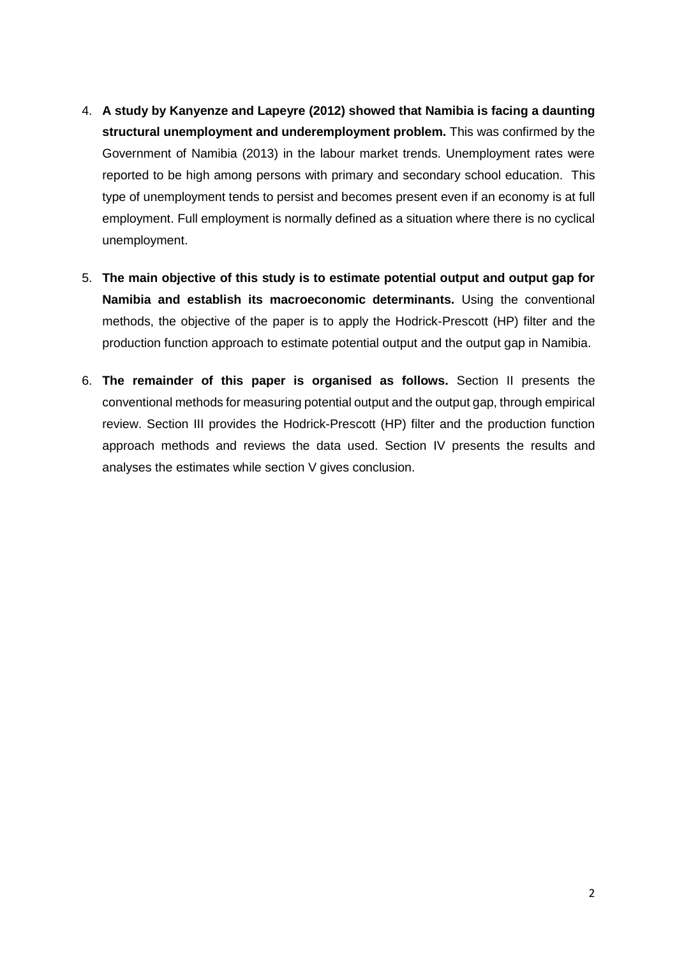- 4. **A study by Kanyenze and Lapeyre (2012) showed that Namibia is facing a daunting structural unemployment and underemployment problem.** This was confirmed by the Government of Namibia (2013) in the labour market trends. Unemployment rates were reported to be high among persons with primary and secondary school education. This type of unemployment tends to persist and becomes present even if an economy is at full employment. Full employment is normally defined as a situation where there is no cyclical unemployment.
- 5. **The main objective of this study is to estimate potential output and output gap for Namibia and establish its macroeconomic determinants.** Using the conventional methods, the objective of the paper is to apply the Hodrick-Prescott (HP) filter and the production function approach to estimate potential output and the output gap in Namibia.
- 6. **The remainder of this paper is organised as follows.** Section II presents the conventional methods for measuring potential output and the output gap, through empirical review. Section III provides the Hodrick-Prescott (HP) filter and the production function approach methods and reviews the data used. Section IV presents the results and analyses the estimates while section V gives conclusion.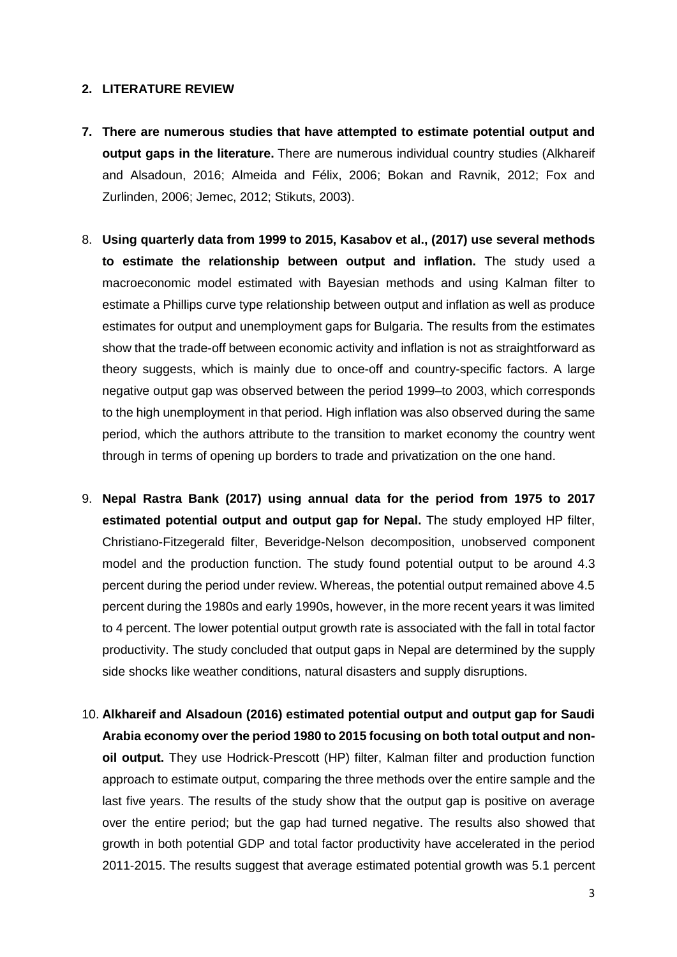#### <span id="page-5-0"></span>**2. LITERATURE REVIEW**

- **7. There are numerous studies that have attempted to estimate potential output and output gaps in the literature.** There are numerous individual country studies (Alkhareif and Alsadoun, 2016; Almeida and Félix, 2006; Bokan and Ravnik, 2012; Fox and Zurlinden, 2006; Jemec, 2012; Stikuts, 2003).
- 8. **Using quarterly data from 1999 to 2015, Kasabov et al., (2017) use several methods to estimate the relationship between output and inflation.** The study used a macroeconomic model estimated with Bayesian methods and using Kalman filter to estimate a Phillips curve type relationship between output and inflation as well as produce estimates for output and unemployment gaps for Bulgaria. The results from the estimates show that the trade-off between economic activity and inflation is not as straightforward as theory suggests, which is mainly due to once-off and country-specific factors. A large negative output gap was observed between the period 1999–to 2003, which corresponds to the high unemployment in that period. High inflation was also observed during the same period, which the authors attribute to the transition to market economy the country went through in terms of opening up borders to trade and privatization on the one hand.
- 9. **Nepal Rastra Bank (2017) using annual data for the period from 1975 to 2017 estimated potential output and output gap for Nepal.** The study employed HP filter, Christiano-Fitzegerald filter, Beveridge-Nelson decomposition, unobserved component model and the production function. The study found potential output to be around 4.3 percent during the period under review. Whereas, the potential output remained above 4.5 percent during the 1980s and early 1990s, however, in the more recent years it was limited to 4 percent. The lower potential output growth rate is associated with the fall in total factor productivity. The study concluded that output gaps in Nepal are determined by the supply side shocks like weather conditions, natural disasters and supply disruptions.
- 10. **Alkhareif and Alsadoun (2016) estimated potential output and output gap for Saudi Arabia economy over the period 1980 to 2015 focusing on both total output and nonoil output.** They use Hodrick-Prescott (HP) filter, Kalman filter and production function approach to estimate output, comparing the three methods over the entire sample and the last five years. The results of the study show that the output gap is positive on average over the entire period; but the gap had turned negative. The results also showed that growth in both potential GDP and total factor productivity have accelerated in the period 2011-2015. The results suggest that average estimated potential growth was 5.1 percent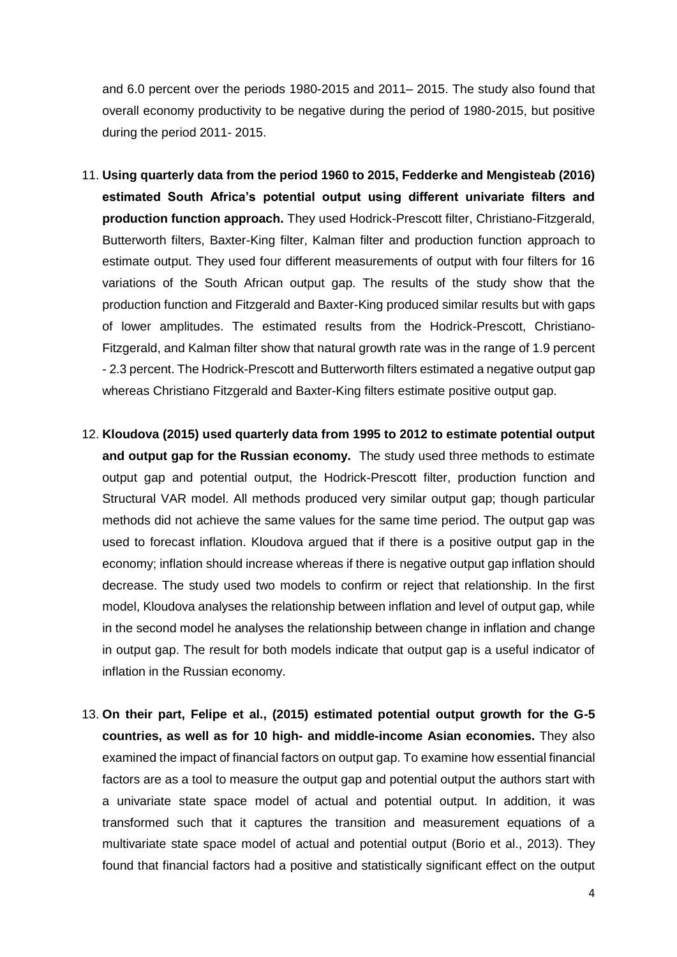and 6.0 percent over the periods 1980-2015 and 2011– 2015. The study also found that overall economy productivity to be negative during the period of 1980-2015, but positive during the period 2011- 2015.

- 11. **Using quarterly data from the period 1960 to 2015, Fedderke and Mengisteab (2016) estimated South Africa's potential output using different univariate filters and production function approach.** They used Hodrick-Prescott filter, Christiano-Fitzgerald, Butterworth filters, Baxter-King filter, Kalman filter and production function approach to estimate output. They used four different measurements of output with four filters for 16 variations of the South African output gap. The results of the study show that the production function and Fitzgerald and Baxter-King produced similar results but with gaps of lower amplitudes. The estimated results from the Hodrick-Prescott, Christiano-Fitzgerald, and Kalman filter show that natural growth rate was in the range of 1.9 percent - 2.3 percent. The Hodrick-Prescott and Butterworth filters estimated a negative output gap whereas Christiano Fitzgerald and Baxter-King filters estimate positive output gap.
- 12. **Kloudova (2015) used quarterly data from 1995 to 2012 to estimate potential output and output gap for the Russian economy.** The study used three methods to estimate output gap and potential output, the Hodrick-Prescott filter, production function and Structural VAR model. All methods produced very similar output gap; though particular methods did not achieve the same values for the same time period. The output gap was used to forecast inflation. Kloudova argued that if there is a positive output gap in the economy; inflation should increase whereas if there is negative output gap inflation should decrease. The study used two models to confirm or reject that relationship. In the first model, Kloudova analyses the relationship between inflation and level of output gap, while in the second model he analyses the relationship between change in inflation and change in output gap. The result for both models indicate that output gap is a useful indicator of inflation in the Russian economy.
- 13. **On their part, Felipe et al., (2015) estimated potential output growth for the G-5 countries, as well as for 10 high- and middle-income Asian economies.** They also examined the impact of financial factors on output gap. To examine how essential financial factors are as a tool to measure the output gap and potential output the authors start with a univariate state space model of actual and potential output. In addition, it was transformed such that it captures the transition and measurement equations of a multivariate state space model of actual and potential output (Borio et al., 2013). They found that financial factors had a positive and statistically significant effect on the output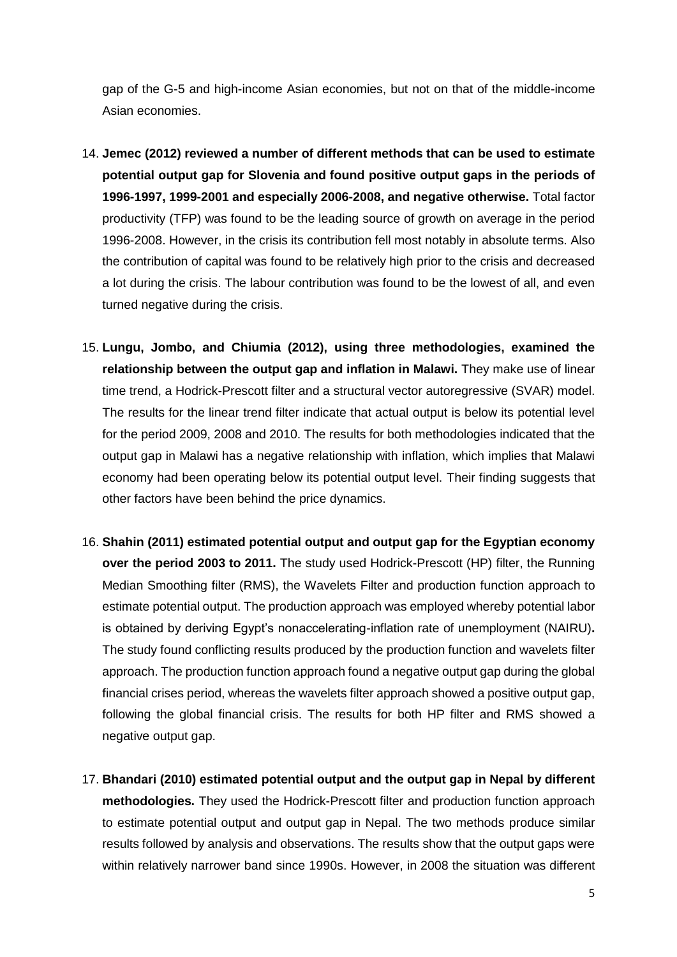gap of the G-5 and high-income Asian economies, but not on that of the middle-income Asian economies.

- 14. **Jemec (2012) reviewed a number of different methods that can be used to estimate potential output gap for Slovenia and found positive output gaps in the periods of 1996-1997, 1999-2001 and especially 2006-2008, and negative otherwise.** Total factor productivity (TFP) was found to be the leading source of growth on average in the period 1996-2008. However, in the crisis its contribution fell most notably in absolute terms. Also the contribution of capital was found to be relatively high prior to the crisis and decreased a lot during the crisis. The labour contribution was found to be the lowest of all, and even turned negative during the crisis.
- 15. **Lungu, Jombo, and Chiumia (2012), using three methodologies, examined the relationship between the output gap and inflation in Malawi.** They make use of linear time trend, a Hodrick-Prescott filter and a structural vector autoregressive (SVAR) model. The results for the linear trend filter indicate that actual output is below its potential level for the period 2009, 2008 and 2010. The results for both methodologies indicated that the output gap in Malawi has a negative relationship with inflation, which implies that Malawi economy had been operating below its potential output level. Their finding suggests that other factors have been behind the price dynamics.
- 16. **Shahin (2011) estimated potential output and output gap for the Egyptian economy over the period 2003 to 2011.** The study used Hodrick-Prescott (HP) filter, the Running Median Smoothing filter (RMS), the Wavelets Filter and production function approach to estimate potential output. The production approach was employed whereby potential labor is obtained by deriving Egypt's nonaccelerating-inflation rate of unemployment (NAIRU)**.**  The study found conflicting results produced by the production function and wavelets filter approach. The production function approach found a negative output gap during the global financial crises period, whereas the wavelets filter approach showed a positive output gap, following the global financial crisis. The results for both HP filter and RMS showed a negative output gap.
- 17. **Bhandari (2010) estimated potential output and the output gap in Nepal by different methodologies.** They used the Hodrick-Prescott filter and production function approach to estimate potential output and output gap in Nepal. The two methods produce similar results followed by analysis and observations. The results show that the output gaps were within relatively narrower band since 1990s. However, in 2008 the situation was different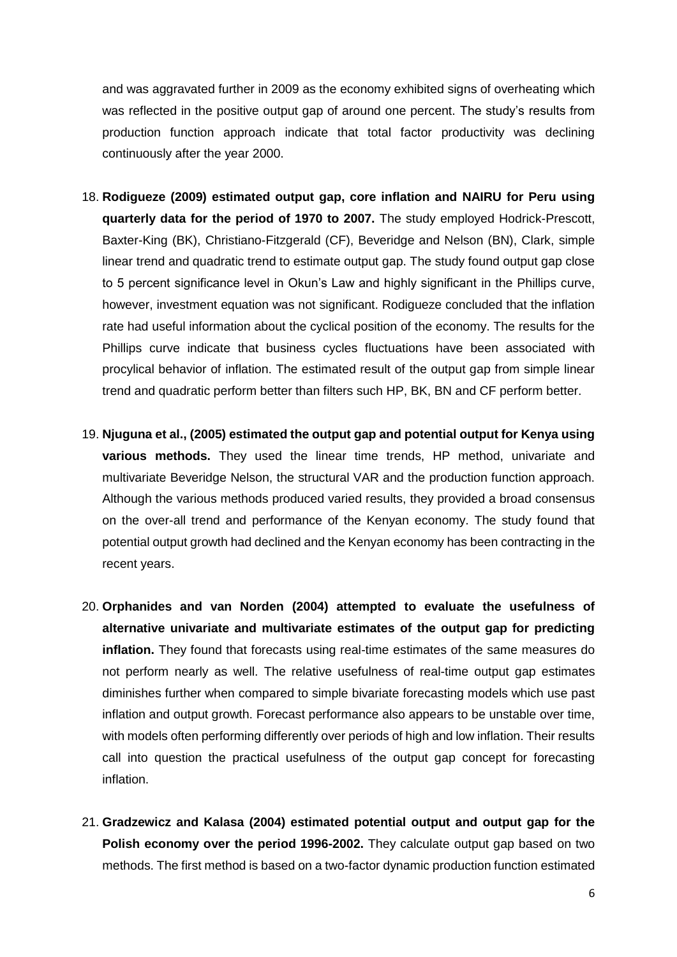and was aggravated further in 2009 as the economy exhibited signs of overheating which was reflected in the positive output gap of around one percent. The study's results from production function approach indicate that total factor productivity was declining continuously after the year 2000.

- 18. **Rodigueze (2009) estimated output gap, core inflation and NAIRU for Peru using quarterly data for the period of 1970 to 2007.** The study employed Hodrick-Prescott, Baxter-King (BK), Christiano-Fitzgerald (CF), Beveridge and Nelson (BN), Clark, simple linear trend and quadratic trend to estimate output gap. The study found output gap close to 5 percent significance level in Okun's Law and highly significant in the Phillips curve, however, investment equation was not significant. Rodigueze concluded that the inflation rate had useful information about the cyclical position of the economy. The results for the Phillips curve indicate that business cycles fluctuations have been associated with procylical behavior of inflation. The estimated result of the output gap from simple linear trend and quadratic perform better than filters such HP, BK, BN and CF perform better.
- 19. **Njuguna et al., (2005) estimated the output gap and potential output for Kenya using various methods.** They used the linear time trends, HP method, univariate and multivariate Beveridge Nelson, the structural VAR and the production function approach. Although the various methods produced varied results, they provided a broad consensus on the over-all trend and performance of the Kenyan economy. The study found that potential output growth had declined and the Kenyan economy has been contracting in the recent years.
- 20. **Orphanides and van Norden (2004) attempted to evaluate the usefulness of alternative univariate and multivariate estimates of the output gap for predicting inflation.** They found that forecasts using real-time estimates of the same measures do not perform nearly as well. The relative usefulness of real-time output gap estimates diminishes further when compared to simple bivariate forecasting models which use past inflation and output growth. Forecast performance also appears to be unstable over time, with models often performing differently over periods of high and low inflation. Their results call into question the practical usefulness of the output gap concept for forecasting inflation.
- 21. **Gradzewicz and Kalasa (2004) estimated potential output and output gap for the Polish economy over the period 1996-2002.** They calculate output gap based on two methods. The first method is based on a two-factor dynamic production function estimated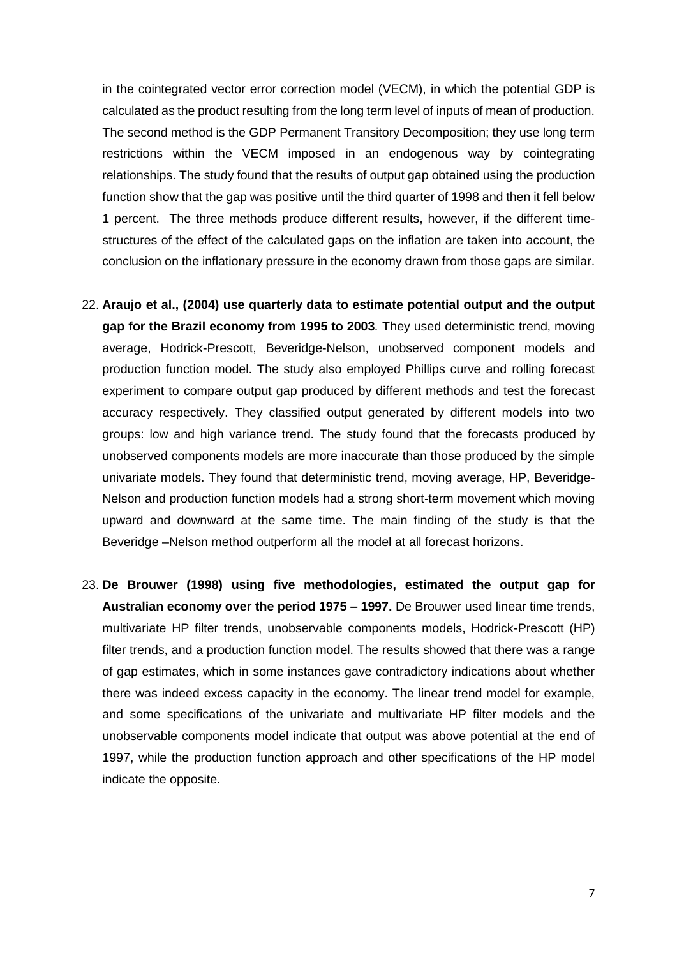in the cointegrated vector error correction model (VECM), in which the potential GDP is calculated as the product resulting from the long term level of inputs of mean of production. The second method is the GDP Permanent Transitory Decomposition; they use long term restrictions within the VECM imposed in an endogenous way by cointegrating relationships. The study found that the results of output gap obtained using the production function show that the gap was positive until the third quarter of 1998 and then it fell below 1 percent. The three methods produce different results, however, if the different timestructures of the effect of the calculated gaps on the inflation are taken into account, the conclusion on the inflationary pressure in the economy drawn from those gaps are similar.

- 22. **Araujo et al., (2004) use quarterly data to estimate potential output and the output gap for the Brazil economy from 1995 to 2003***.* They used deterministic trend, moving average, Hodrick-Prescott, Beveridge-Nelson, unobserved component models and production function model. The study also employed Phillips curve and rolling forecast experiment to compare output gap produced by different methods and test the forecast accuracy respectively. They classified output generated by different models into two groups: low and high variance trend. The study found that the forecasts produced by unobserved components models are more inaccurate than those produced by the simple univariate models. They found that deterministic trend, moving average, HP, Beveridge-Nelson and production function models had a strong short-term movement which moving upward and downward at the same time. The main finding of the study is that the Beveridge –Nelson method outperform all the model at all forecast horizons.
- <span id="page-9-0"></span>23. **De Brouwer (1998) using five methodologies, estimated the output gap for Australian economy over the period 1975 – 1997.** De Brouwer used linear time trends, multivariate HP filter trends, unobservable components models, Hodrick-Prescott (HP) filter trends, and a production function model. The results showed that there was a range of gap estimates, which in some instances gave contradictory indications about whether there was indeed excess capacity in the economy. The linear trend model for example, and some specifications of the univariate and multivariate HP filter models and the unobservable components model indicate that output was above potential at the end of 1997, while the production function approach and other specifications of the HP model indicate the opposite.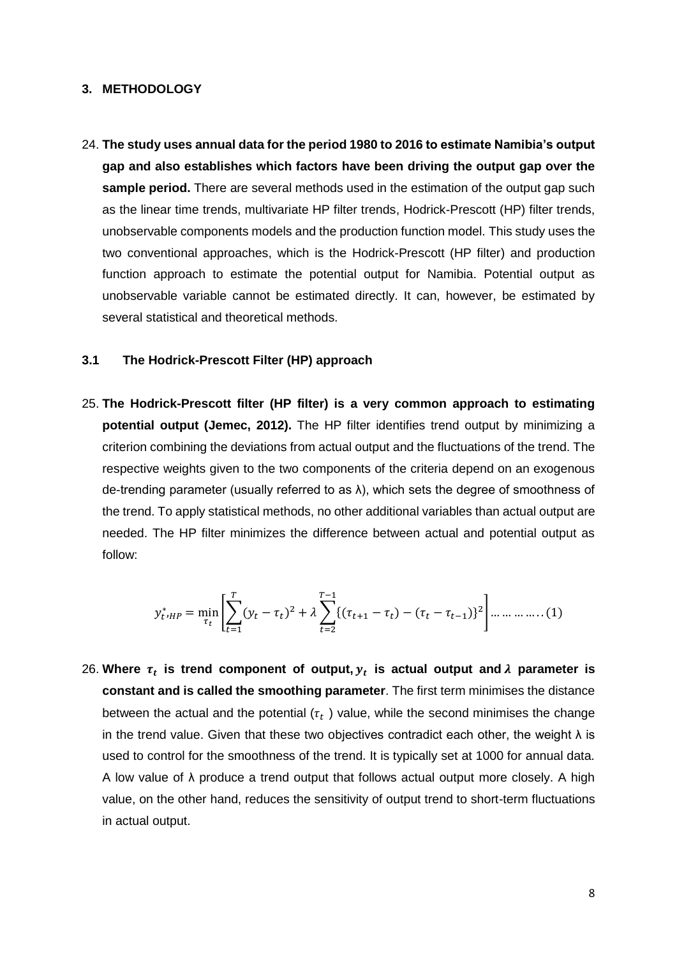#### **3. METHODOLOGY**

24. **The study uses annual data for the period 1980 to 2016 to estimate Namibia's output gap and also establishes which factors have been driving the output gap over the sample period.** There are several methods used in the estimation of the output gap such as the linear time trends, multivariate HP filter trends, Hodrick-Prescott (HP) filter trends, unobservable components models and the production function model. This study uses the two conventional approaches, which is the Hodrick-Prescott (HP filter) and production function approach to estimate the potential output for Namibia. Potential output as unobservable variable cannot be estimated directly. It can, however, be estimated by several statistical and theoretical methods.

#### <span id="page-10-0"></span>**3.1 The Hodrick-Prescott Filter (HP) approach**

25. **The Hodrick-Prescott filter (HP filter) is a very common approach to estimating potential output (Jemec, 2012).** The HP filter identifies trend output by minimizing a criterion combining the deviations from actual output and the fluctuations of the trend. The respective weights given to the two components of the criteria depend on an exogenous de-trending parameter (usually referred to as  $\lambda$ ), which sets the degree of smoothness of the trend. To apply statistical methods, no other additional variables than actual output are needed. The HP filter minimizes the difference between actual and potential output as follow:

$$
y_{t}^* = \min_{\tau_t} \left[ \sum_{t=1}^T (y_t - \tau_t)^2 + \lambda \sum_{t=2}^{T-1} \{ (\tau_{t+1} - \tau_t) - (\tau_t - \tau_{t-1})^2 \} \right] \dots \dots \dots \dots (1)
$$

26. Where  $\tau_t$  is trend component of output,  $y_t$  is actual output and  $\lambda$  parameter is **constant and is called the smoothing parameter**. The first term minimises the distance between the actual and the potential ( $\tau_t$  ) value, while the second minimises the change in the trend value. Given that these two objectives contradict each other, the weight  $\lambda$  is used to control for the smoothness of the trend. It is typically set at 1000 for annual data. A low value of λ produce a trend output that follows actual output more closely. A high value, on the other hand, reduces the sensitivity of output trend to short-term fluctuations in actual output.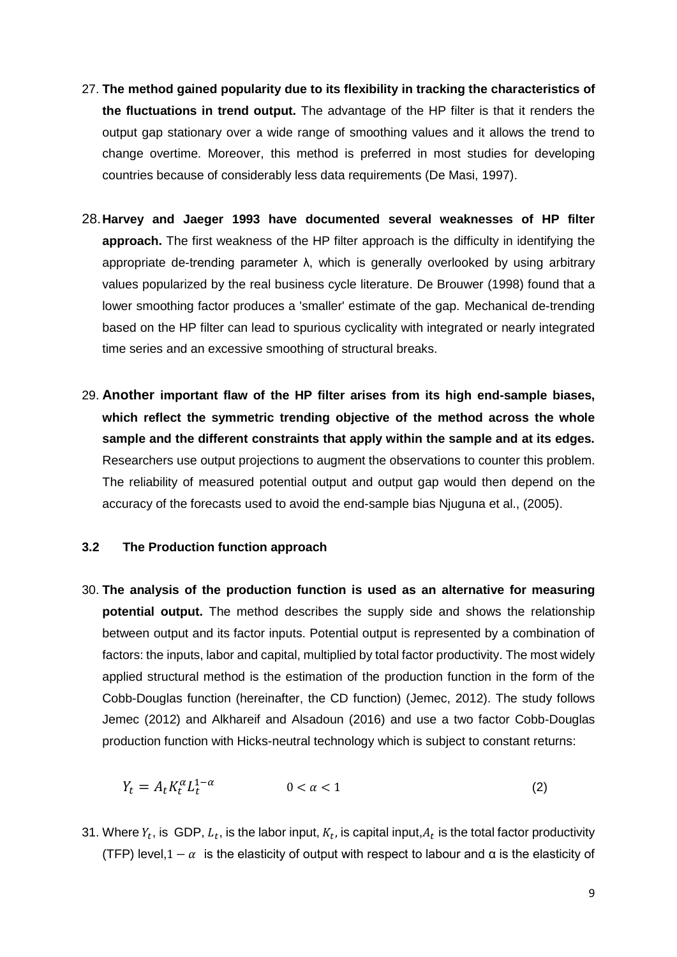- 27. **The method gained popularity due to its flexibility in tracking the characteristics of the fluctuations in trend output.** The advantage of the HP filter is that it renders the output gap stationary over a wide range of smoothing values and it allows the trend to change overtime. Moreover, this method is preferred in most studies for developing countries because of considerably less data requirements (De Masi, 1997).
- 28.**Harvey and Jaeger 1993 have documented several weaknesses of HP filter approach.** The first weakness of the HP filter approach is the difficulty in identifying the appropriate de-trending parameter λ, which is generally overlooked by using arbitrary values popularized by the real business cycle literature. De Brouwer (1998) found that a lower smoothing factor produces a 'smaller' estimate of the gap. Mechanical de-trending based on the HP filter can lead to spurious cyclicality with integrated or nearly integrated time series and an excessive smoothing of structural breaks.
- 29. **Another important flaw of the HP filter arises from its high end-sample biases, which reflect the symmetric trending objective of the method across the whole sample and the different constraints that apply within the sample and at its edges.** Researchers use output projections to augment the observations to counter this problem. The reliability of measured potential output and output gap would then depend on the accuracy of the forecasts used to avoid the end-sample bias Njuguna et al., (2005).

#### <span id="page-11-0"></span>**3.2 The Production function approach**

30. **The analysis of the production function is used as an alternative for measuring potential output.** The method describes the supply side and shows the relationship between output and its factor inputs. Potential output is represented by a combination of factors: the inputs, labor and capital, multiplied by total factor productivity. The most widely applied structural method is the estimation of the production function in the form of the Cobb-Douglas function (hereinafter, the CD function) (Jemec, 2012). The study follows Jemec (2012) and Alkhareif and Alsadoun (2016) and use a two factor Cobb-Douglas production function with Hicks-neutral technology which is subject to constant returns:

$$
Y_t = A_t K_t^{\alpha} L_t^{1-\alpha} \qquad \qquad 0 < \alpha < 1 \tag{2}
$$

31. Where  $Y_t$ , is GDP,  $L_t$ , is the labor input,  $K_t$ , is capital input, $A_t$  is the total factor productivity (TFP) level,  $1 - \alpha$  is the elasticity of output with respect to labour and  $\alpha$  is the elasticity of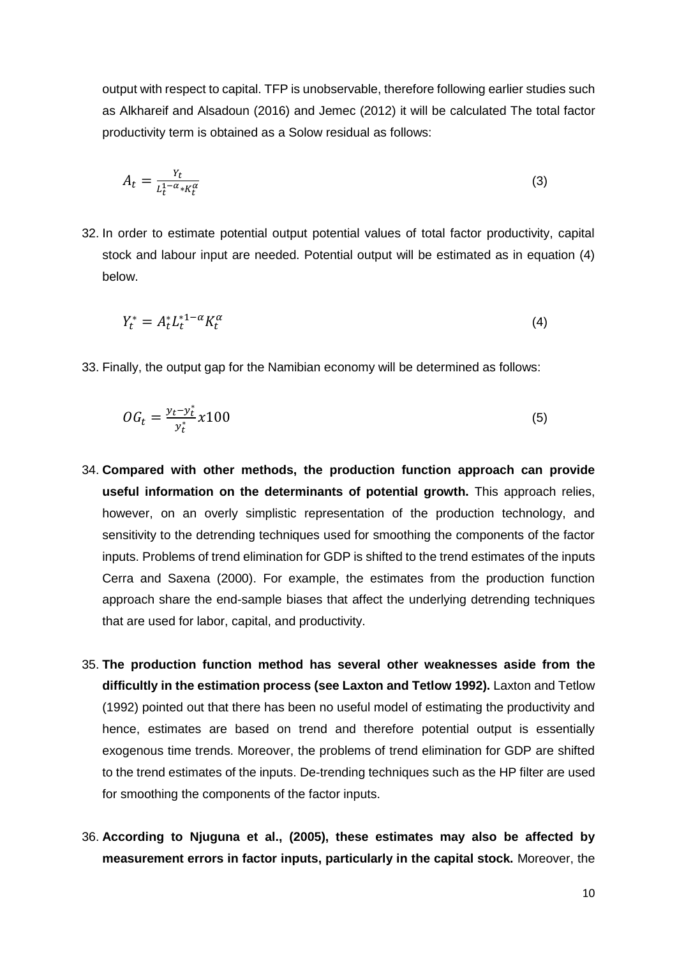output with respect to capital. TFP is unobservable, therefore following earlier studies such as Alkhareif and Alsadoun (2016) and Jemec (2012) it will be calculated The total factor productivity term is obtained as a Solow residual as follows:

$$
A_t = \frac{Y_t}{L_t^{1-\alpha} * K_t^{\alpha}}
$$
 (3)

32. In order to estimate potential output potential values of total factor productivity, capital stock and labour input are needed. Potential output will be estimated as in equation (4) below.

$$
Y_t^* = A_t^* L_t^{*1-\alpha} K_t^{\alpha} \tag{4}
$$

33. Finally, the output gap for the Namibian economy will be determined as follows:

$$
OG_t = \frac{y_t - y_t^*}{y_t^*} x 100\tag{5}
$$

- 34. **Compared with other methods, the production function approach can provide useful information on the determinants of potential growth.** This approach relies, however, on an overly simplistic representation of the production technology, and sensitivity to the detrending techniques used for smoothing the components of the factor inputs. Problems of trend elimination for GDP is shifted to the trend estimates of the inputs Cerra and Saxena (2000). For example, the estimates from the production function approach share the end-sample biases that affect the underlying detrending techniques that are used for labor, capital, and productivity.
- 35. **The production function method has several other weaknesses aside from the difficultly in the estimation process (see Laxton and Tetlow 1992).** Laxton and Tetlow (1992) pointed out that there has been no useful model of estimating the productivity and hence, estimates are based on trend and therefore potential output is essentially exogenous time trends. Moreover, the problems of trend elimination for GDP are shifted to the trend estimates of the inputs. De-trending techniques such as the HP filter are used for smoothing the components of the factor inputs.
- 36. **According to Njuguna et al., (2005), these estimates may also be affected by measurement errors in factor inputs, particularly in the capital stock.** Moreover, the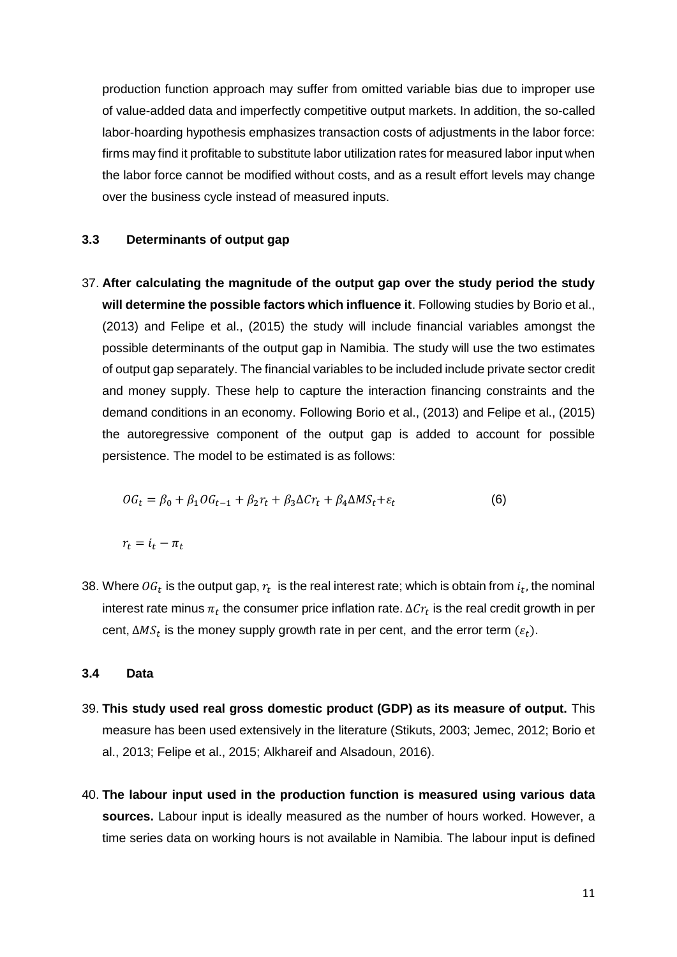production function approach may suffer from omitted variable bias due to improper use of value-added data and imperfectly competitive output markets. In addition, the so-called labor-hoarding hypothesis emphasizes transaction costs of adjustments in the labor force: firms may find it profitable to substitute labor utilization rates for measured labor input when the labor force cannot be modified without costs, and as a result effort levels may change over the business cycle instead of measured inputs.

#### <span id="page-13-0"></span>**3.3 Determinants of output gap**

37. **After calculating the magnitude of the output gap over the study period the study will determine the possible factors which influence it**. Following studies by Borio et al., (2013) and Felipe et al., (2015) the study will include financial variables amongst the possible determinants of the output gap in Namibia. The study will use the two estimates of output gap separately. The financial variables to be included include private sector credit and money supply. These help to capture the interaction financing constraints and the demand conditions in an economy. Following Borio et al., (2013) and Felipe et al., (2015) the autoregressive component of the output gap is added to account for possible persistence. The model to be estimated is as follows:

$$
OG_t = \beta_0 + \beta_1 OG_{t-1} + \beta_2 r_t + \beta_3 \Delta Cr_t + \beta_4 \Delta MS_t + \varepsilon_t
$$
\n(6)

 $r_t = i_t - \pi_t$ 

38. Where  $0G_t$  is the output gap,  $r_t$  is the real interest rate; which is obtain from  $i_t$ , the nominal interest rate minus  $\pi_t$  the consumer price inflation rate.  $\Delta\mathcal{C}r_t$  is the real credit growth in per cent,  $\Delta MS_t$  is the money supply growth rate in per cent, and the error term  $(\varepsilon_t)$ .

#### <span id="page-13-1"></span>**3.4 Data**

- 39. **This study used real gross domestic product (GDP) as its measure of output.** This measure has been used extensively in the literature (Stikuts, 2003; Jemec, 2012; Borio et al., 2013; Felipe et al., 2015; Alkhareif and Alsadoun, 2016).
- 40. **The labour input used in the production function is measured using various data sources.** Labour input is ideally measured as the number of hours worked. However, a time series data on working hours is not available in Namibia. The labour input is defined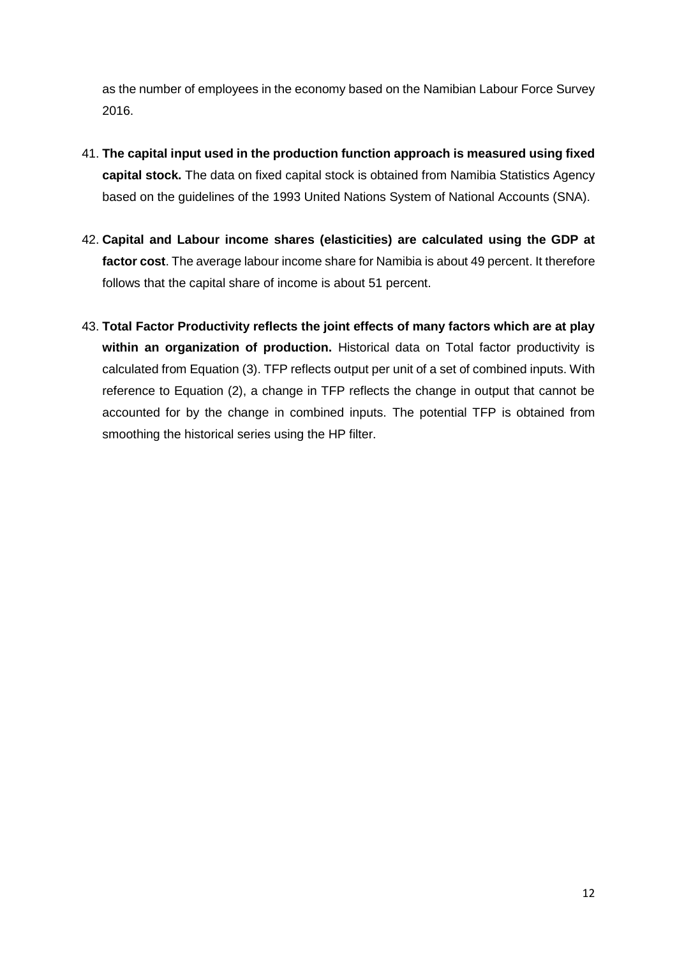as the number of employees in the economy based on the Namibian Labour Force Survey 2016.

- 41. **The capital input used in the production function approach is measured using fixed capital stock.** The data on fixed capital stock is obtained from Namibia Statistics Agency based on the guidelines of the 1993 United Nations System of National Accounts (SNA).
- 42. **Capital and Labour income shares (elasticities) are calculated using the GDP at factor cost**. The average labour income share for Namibia is about 49 percent. It therefore follows that the capital share of income is about 51 percent.
- 43. **Total Factor Productivity reflects the joint effects of many factors which are at play within an organization of production.** Historical data on Total factor productivity is calculated from Equation (3). TFP reflects output per unit of a set of combined inputs. With reference to Equation (2), a change in TFP reflects the change in output that cannot be accounted for by the change in combined inputs. The potential TFP is obtained from smoothing the historical series using the HP filter.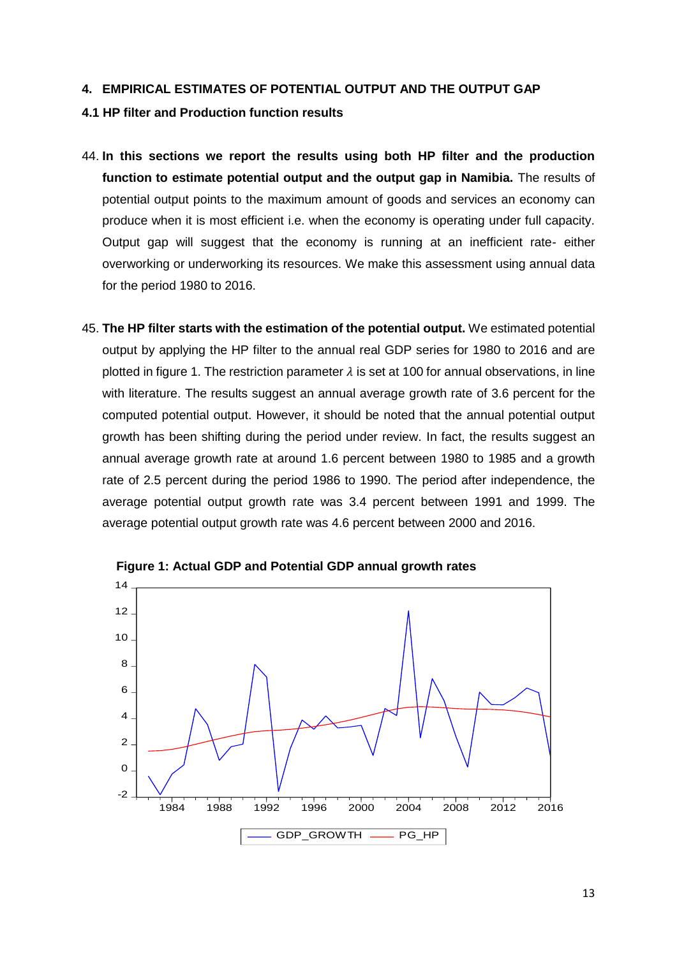#### <span id="page-15-0"></span>**4. EMPIRICAL ESTIMATES OF POTENTIAL OUTPUT AND THE OUTPUT GAP**

#### <span id="page-15-1"></span>**4.1 HP filter and Production function results**

- 44. **In this sections we report the results using both HP filter and the production function to estimate potential output and the output gap in Namibia.** The results of potential output points to the maximum amount of goods and services an economy can produce when it is most efficient i.e. when the economy is operating under full capacity. Output gap will suggest that the economy is running at an inefficient rate- either overworking or underworking its resources. We make this assessment using annual data for the period 1980 to 2016.
- 45. **The HP filter starts with the estimation of the potential output.** We estimated potential output by applying the HP filter to the annual real GDP series for 1980 to 2016 and are plotted in figure 1. The restriction parameter  $\lambda$  is set at 100 for annual observations, in line with literature. The results suggest an annual average growth rate of 3.6 percent for the computed potential output. However, it should be noted that the annual potential output growth has been shifting during the period under review. In fact, the results suggest an annual average growth rate at around 1.6 percent between 1980 to 1985 and a growth rate of 2.5 percent during the period 1986 to 1990. The period after independence, the average potential output growth rate was 3.4 percent between 1991 and 1999. The average potential output growth rate was 4.6 percent between 2000 and 2016.



 **Figure 1: Actual GDP and Potential GDP annual growth rates**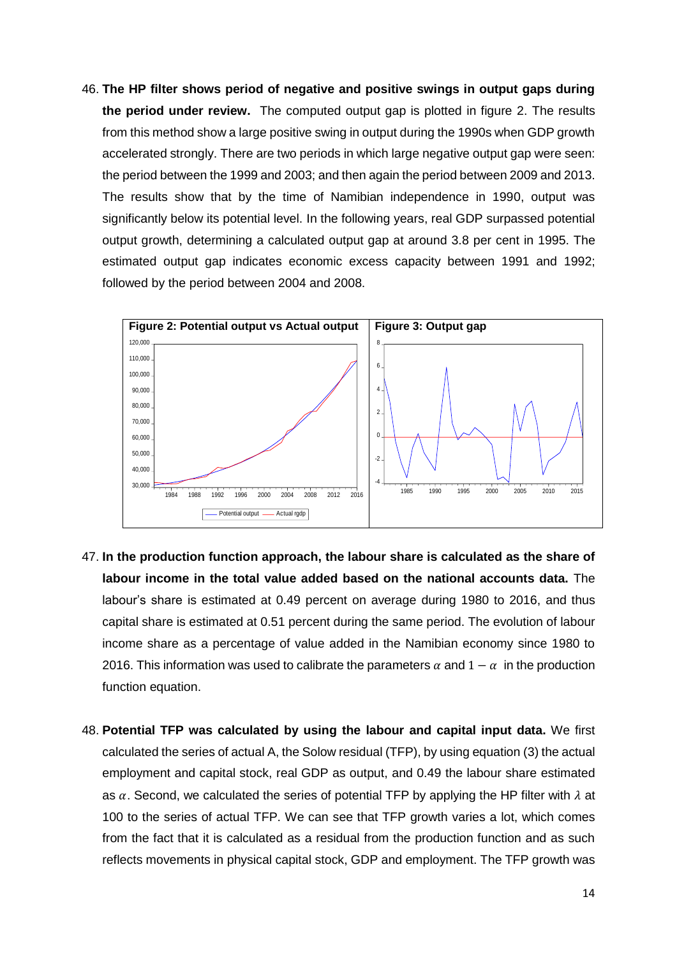46. **The HP filter shows period of negative and positive swings in output gaps during the period under review.** The computed output gap is plotted in figure 2. The results from this method show a large positive swing in output during the 1990s when GDP growth accelerated strongly. There are two periods in which large negative output gap were seen: the period between the 1999 and 2003; and then again the period between 2009 and 2013. The results show that by the time of Namibian independence in 1990, output was significantly below its potential level. In the following years, real GDP surpassed potential output growth, determining a calculated output gap at around 3.8 per cent in 1995. The estimated output gap indicates economic excess capacity between 1991 and 1992; followed by the period between 2004 and 2008.



- 47. **In the production function approach, the labour share is calculated as the share of labour income in the total value added based on the national accounts data.** The labour's share is estimated at 0.49 percent on average during 1980 to 2016, and thus capital share is estimated at 0.51 percent during the same period. The evolution of labour income share as a percentage of value added in the Namibian economy since 1980 to 2016. This information was used to calibrate the parameters  $\alpha$  and  $1 - \alpha$  in the production function equation.
- 48. **Potential TFP was calculated by using the labour and capital input data.** We first calculated the series of actual A, the Solow residual (TFP), by using equation (3) the actual employment and capital stock, real GDP as output, and 0.49 the labour share estimated as  $\alpha$ . Second, we calculated the series of potential TFP by applying the HP filter with  $\lambda$  at 100 to the series of actual TFP. We can see that TFP growth varies a lot, which comes from the fact that it is calculated as a residual from the production function and as such reflects movements in physical capital stock, GDP and employment. The TFP growth was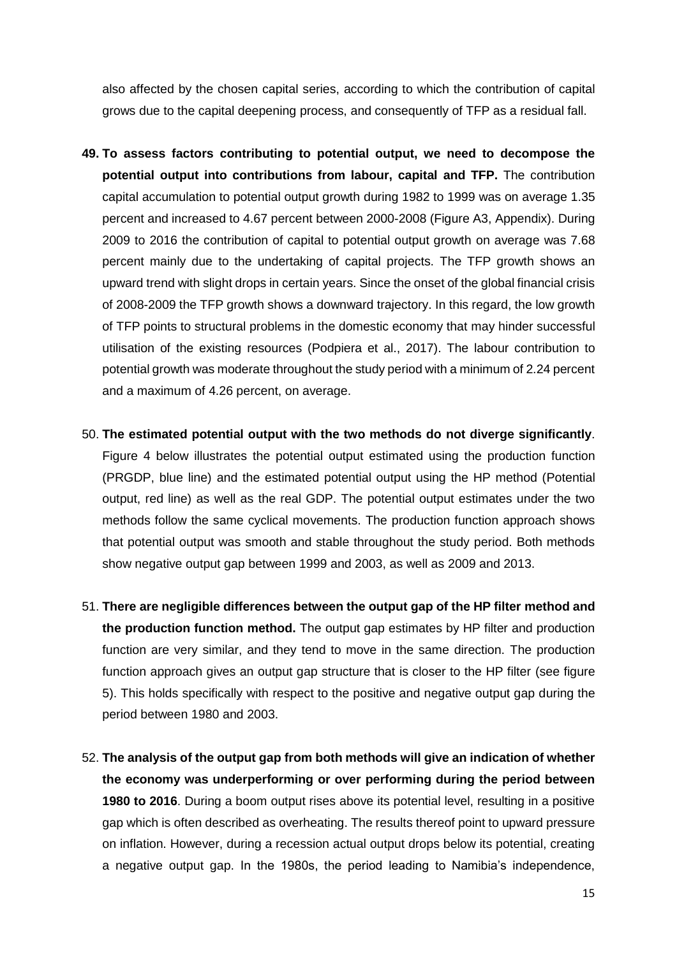also affected by the chosen capital series, according to which the contribution of capital grows due to the capital deepening process, and consequently of TFP as a residual fall.

- **49. To assess factors contributing to potential output, we need to decompose the potential output into contributions from labour, capital and TFP.** The contribution capital accumulation to potential output growth during 1982 to 1999 was on average 1.35 percent and increased to 4.67 percent between 2000-2008 (Figure A3, Appendix). During 2009 to 2016 the contribution of capital to potential output growth on average was 7.68 percent mainly due to the undertaking of capital projects. The TFP growth shows an upward trend with slight drops in certain years. Since the onset of the global financial crisis of 2008-2009 the TFP growth shows a downward trajectory. In this regard, the low growth of TFP points to structural problems in the domestic economy that may hinder successful utilisation of the existing resources (Podpiera et al., 2017). The labour contribution to potential growth was moderate throughout the study period with a minimum of 2.24 percent and a maximum of 4.26 percent, on average.
- 50. **The estimated potential output with the two methods do not diverge significantly**. Figure 4 below illustrates the potential output estimated using the production function (PRGDP, blue line) and the estimated potential output using the HP method (Potential output, red line) as well as the real GDP. The potential output estimates under the two methods follow the same cyclical movements. The production function approach shows that potential output was smooth and stable throughout the study period. Both methods show negative output gap between 1999 and 2003, as well as 2009 and 2013.
- 51. **There are negligible differences between the output gap of the HP filter method and the production function method.** The output gap estimates by HP filter and production function are very similar, and they tend to move in the same direction. The production function approach gives an output gap structure that is closer to the HP filter (see figure 5). This holds specifically with respect to the positive and negative output gap during the period between 1980 and 2003.
- 52. **The analysis of the output gap from both methods will give an indication of whether the economy was underperforming or over performing during the period between 1980 to 2016**. During a boom output rises above its potential level, resulting in a positive gap which is often described as overheating. The results thereof point to upward pressure on inflation. However, during a recession actual output drops below its potential, creating a negative output gap. In the 1980s, the period leading to Namibia's independence,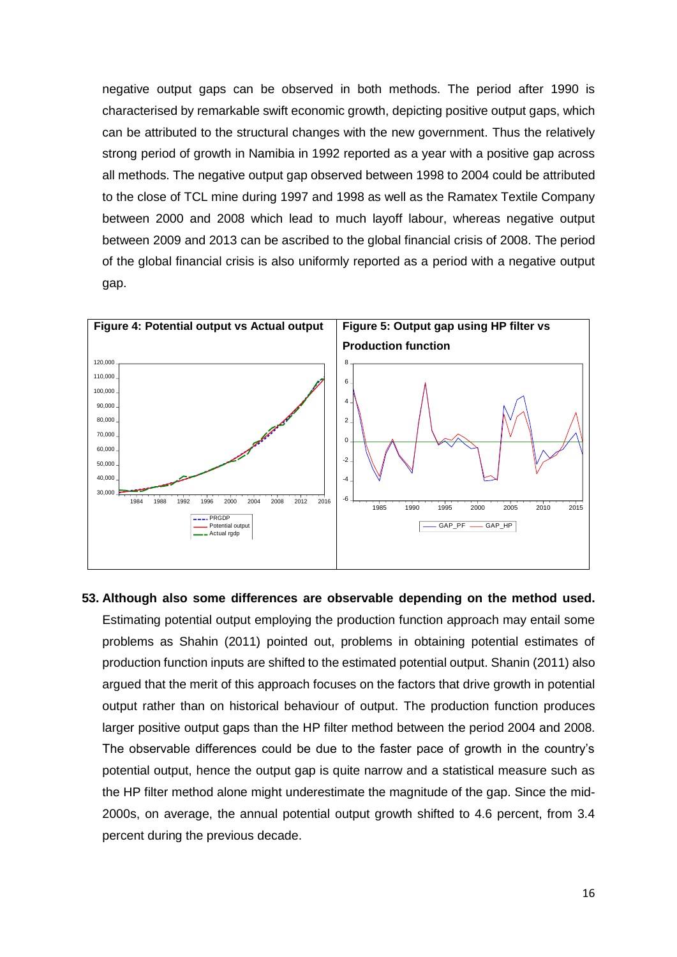negative output gaps can be observed in both methods. The period after 1990 is characterised by remarkable swift economic growth, depicting positive output gaps, which can be attributed to the structural changes with the new government. Thus the relatively strong period of growth in Namibia in 1992 reported as a year with a positive gap across all methods. The negative output gap observed between 1998 to 2004 could be attributed to the close of TCL mine during 1997 and 1998 as well as the Ramatex Textile Company between 2000 and 2008 which lead to much layoff labour, whereas negative output between 2009 and 2013 can be ascribed to the global financial crisis of 2008. The period of the global financial crisis is also uniformly reported as a period with a negative output gap.



**53. Although also some differences are observable depending on the method used.** Estimating potential output employing the production function approach may entail some problems as Shahin (2011) pointed out, problems in obtaining potential estimates of production function inputs are shifted to the estimated potential output. Shanin (2011) also argued that the merit of this approach focuses on the factors that drive growth in potential output rather than on historical behaviour of output. The production function produces larger positive output gaps than the HP filter method between the period 2004 and 2008. The observable differences could be due to the faster pace of growth in the country's potential output, hence the output gap is quite narrow and a statistical measure such as the HP filter method alone might underestimate the magnitude of the gap. Since the mid-2000s, on average, the annual potential output growth shifted to 4.6 percent, from 3.4 percent during the previous decade.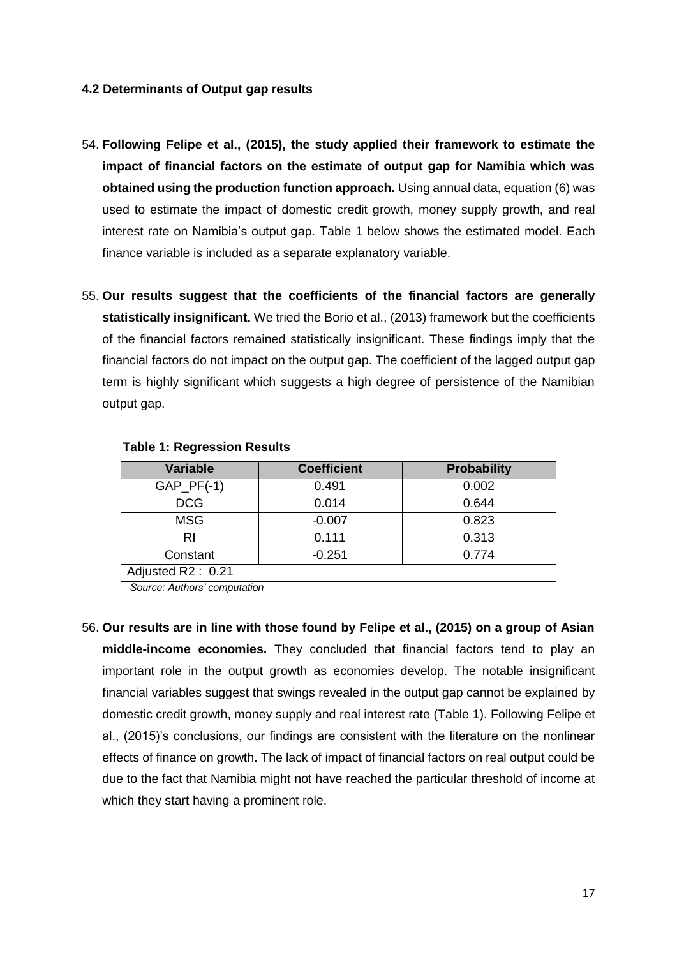#### <span id="page-19-0"></span>**4.2 Determinants of Output gap results**

- 54. **Following Felipe et al., (2015), the study applied their framework to estimate the impact of financial factors on the estimate of output gap for Namibia which was obtained using the production function approach.** Using annual data, equation (6) was used to estimate the impact of domestic credit growth, money supply growth, and real interest rate on Namibia's output gap. Table 1 below shows the estimated model. Each finance variable is included as a separate explanatory variable.
- 55. **Our results suggest that the coefficients of the financial factors are generally statistically insignificant.** We tried the Borio et al., (2013) framework but the coefficients of the financial factors remained statistically insignificant. These findings imply that the financial factors do not impact on the output gap. The coefficient of the lagged output gap term is highly significant which suggests a high degree of persistence of the Namibian output gap.

| <b>Variable</b>   | <b>Coefficient</b> | <b>Probability</b> |  |  |
|-------------------|--------------------|--------------------|--|--|
| $GAP_PF(-1)$      | 0.491              | 0.002              |  |  |
| <b>DCG</b>        | 0.014              | 0.644              |  |  |
| <b>MSG</b>        | $-0.007$           | 0.823              |  |  |
| RI                | 0.111              | 0.313              |  |  |
| Constant          | $-0.251$           | 0.774              |  |  |
| Adjusted R2: 0.21 |                    |                    |  |  |

#### **Table 1: Regression Results**

*Source: Authors' computation* 

56. **Our results are in line with those found by Felipe et al., (2015) on a group of Asian middle-income economies.** They concluded that financial factors tend to play an important role in the output growth as economies develop. The notable insignificant financial variables suggest that swings revealed in the output gap cannot be explained by domestic credit growth, money supply and real interest rate (Table 1). Following Felipe et al., (2015)'s conclusions, our findings are consistent with the literature on the nonlinear effects of finance on growth. The lack of impact of financial factors on real output could be due to the fact that Namibia might not have reached the particular threshold of income at which they start having a prominent role.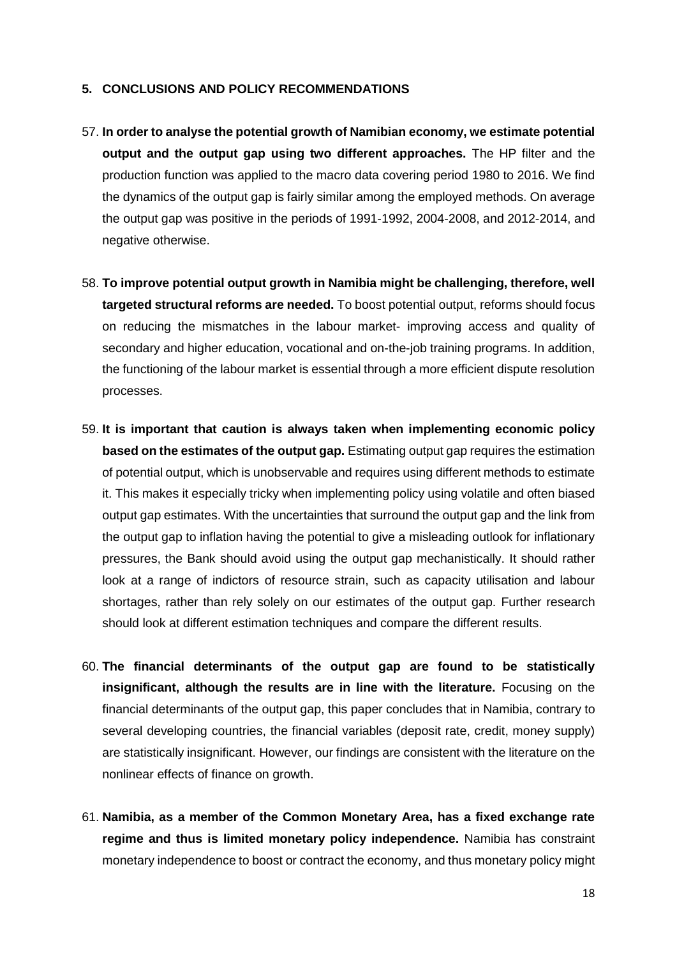#### <span id="page-20-0"></span>**5. CONCLUSIONS AND POLICY RECOMMENDATIONS**

- 57. **In order to analyse the potential growth of Namibian economy, we estimate potential output and the output gap using two different approaches.** The HP filter and the production function was applied to the macro data covering period 1980 to 2016. We find the dynamics of the output gap is fairly similar among the employed methods. On average the output gap was positive in the periods of 1991-1992, 2004-2008, and 2012-2014, and negative otherwise.
- 58. **To improve potential output growth in Namibia might be challenging, therefore, well targeted structural reforms are needed.** To boost potential output, reforms should focus on reducing the mismatches in the labour market- improving access and quality of secondary and higher education, vocational and on-the-job training programs. In addition, the functioning of the labour market is essential through a more efficient dispute resolution processes.
- 59. **It is important that caution is always taken when implementing economic policy based on the estimates of the output gap.** Estimating output gap requires the estimation of potential output, which is unobservable and requires using different methods to estimate it. This makes it especially tricky when implementing policy using volatile and often biased output gap estimates. With the uncertainties that surround the output gap and the link from the output gap to inflation having the potential to give a misleading outlook for inflationary pressures, the Bank should avoid using the output gap mechanistically. It should rather look at a range of indictors of resource strain, such as capacity utilisation and labour shortages, rather than rely solely on our estimates of the output gap. Further research should look at different estimation techniques and compare the different results.
- 60. **The financial determinants of the output gap are found to be statistically insignificant, although the results are in line with the literature.** Focusing on the financial determinants of the output gap, this paper concludes that in Namibia, contrary to several developing countries, the financial variables (deposit rate, credit, money supply) are statistically insignificant. However, our findings are consistent with the literature on the nonlinear effects of finance on growth.
- 61. **Namibia, as a member of the Common Monetary Area, has a fixed exchange rate regime and thus is limited monetary policy independence.** Namibia has constraint monetary independence to boost or contract the economy, and thus monetary policy might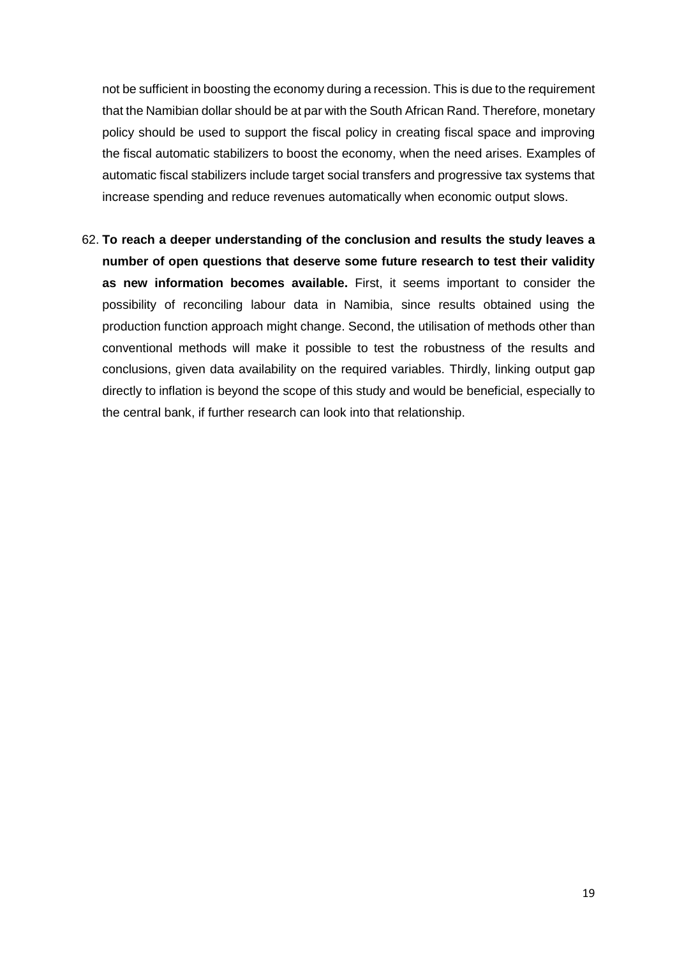not be sufficient in boosting the economy during a recession. This is due to the requirement that the Namibian dollar should be at par with the South African Rand. Therefore, monetary policy should be used to support the fiscal policy in creating fiscal space and improving the fiscal automatic stabilizers to boost the economy, when the need arises. Examples of automatic fiscal stabilizers include target social transfers and progressive tax systems that increase spending and reduce revenues automatically when economic output slows.

62. **To reach a deeper understanding of the conclusion and results the study leaves a number of open questions that deserve some future research to test their validity as new information becomes available.** First, it seems important to consider the possibility of reconciling labour data in Namibia, since results obtained using the production function approach might change. Second, the utilisation of methods other than conventional methods will make it possible to test the robustness of the results and conclusions, given data availability on the required variables. Thirdly, linking output gap directly to inflation is beyond the scope of this study and would be beneficial, especially to the central bank, if further research can look into that relationship.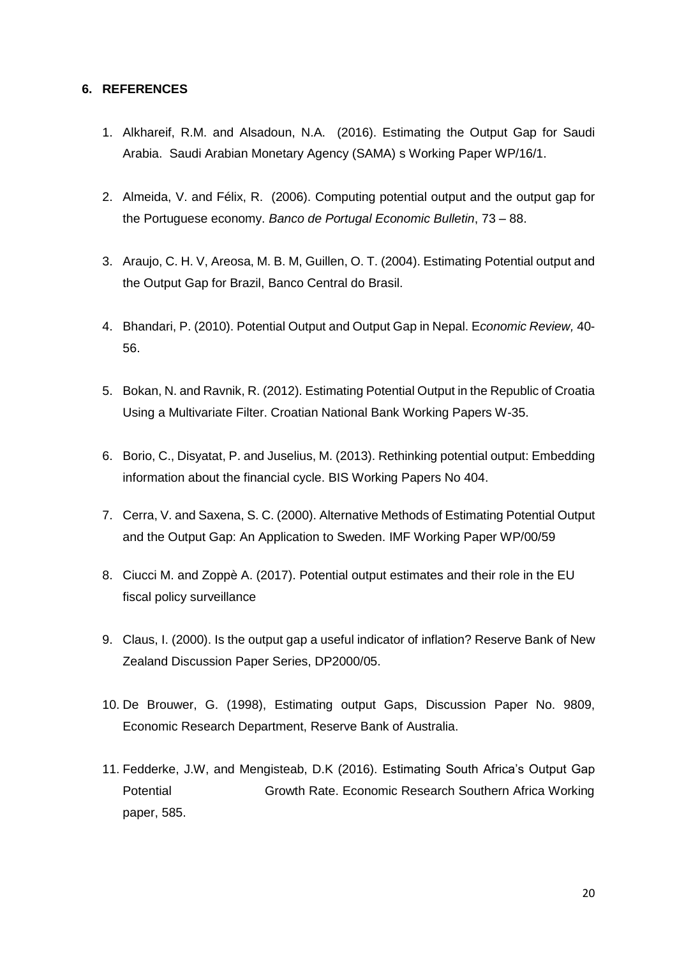#### <span id="page-22-0"></span>**6. REFERENCES**

- 1. Alkhareif, R.M. and Alsadoun, N.A. (2016). Estimating the Output Gap for Saudi Arabia. Saudi Arabian Monetary Agency (SAMA) s Working Paper WP/16/1.
- 2. Almeida, V. and Félix, R. (2006). Computing potential output and the output gap for the Portuguese economy. *Banco de Portugal Economic Bulletin*, 73 – 88.
- 3. Araujo, C. H. V, Areosa, M. B. M, Guillen, O. T. (2004). Estimating Potential output and the Output Gap for Brazil, Banco Central do Brasil.
- 4. Bhandari, P. (2010). Potential Output and Output Gap in Nepal. E*conomic Review,* 40- 56.
- 5. Bokan, N. and Ravnik, R. (2012). Estimating Potential Output in the Republic of Croatia Using a Multivariate Filter. Croatian National Bank Working Papers W-35.
- 6. Borio, C., Disyatat, P. and Juselius, M. (2013). Rethinking potential output: Embedding information about the financial cycle. BIS Working Papers No 404.
- 7. Cerra, V. and Saxena, S. C. (2000). Alternative Methods of Estimating Potential Output and the Output Gap: An Application to Sweden. IMF Working Paper WP/00/59
- 8. Ciucci M. and Zoppè A. (2017). Potential output estimates and their role in the EU fiscal policy surveillance
- 9. Claus, I. (2000). Is the output gap a useful indicator of inflation? Reserve Bank of New Zealand Discussion Paper Series, DP2000/05.
- 10. De Brouwer, G. (1998), Estimating output Gaps, Discussion Paper No. 9809, Economic Research Department, Reserve Bank of Australia.
- 11. Fedderke, J.W, and Mengisteab, D.K (2016). Estimating South Africa's Output Gap Potential Growth Rate. Economic Research Southern Africa Working paper, 585.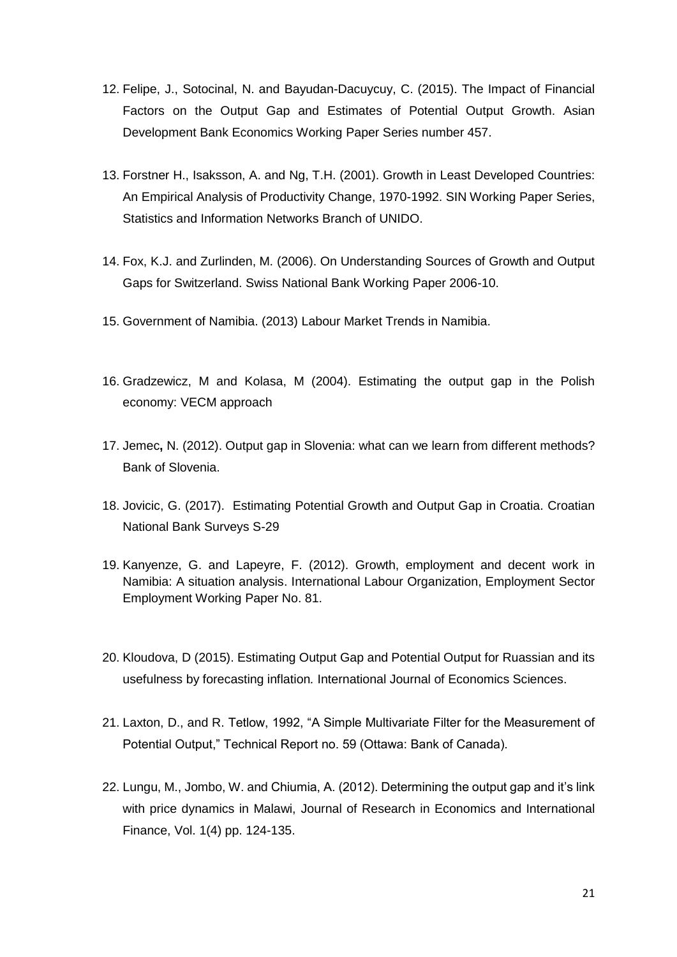- 12. Felipe, J., Sotocinal, N. and Bayudan-Dacuycuy, C. (2015). The Impact of Financial Factors on the Output Gap and Estimates of Potential Output Growth. Asian Development Bank Economics Working Paper Series number 457.
- 13. Forstner H., Isaksson, A. and Ng, T.H. (2001). Growth in Least Developed Countries: An Empirical Analysis of Productivity Change, 1970-1992. SIN Working Paper Series, Statistics and Information Networks Branch of UNIDO.
- 14. Fox, K.J. and Zurlinden, M. (2006). On Understanding Sources of Growth and Output Gaps for Switzerland. Swiss National Bank Working Paper 2006-10.
- 15. Government of Namibia. (2013) Labour Market Trends in Namibia.
- 16. Gradzewicz, M and Kolasa, M (2004). Estimating the output gap in the Polish economy: VECM approach
- 17. Jemec**,** N. (2012). Output gap in Slovenia: what can we learn from different methods? Bank of Slovenia.
- 18. Jovicic, G. (2017). Estimating Potential Growth and Output Gap in Croatia. Croatian National Bank Surveys S-29
- 19. Kanyenze, G. and Lapeyre, F. (2012). Growth, employment and decent work in Namibia: A situation analysis. International Labour Organization, Employment Sector Employment Working Paper No. 81.
- 20. Kloudova, D (2015). Estimating Output Gap and Potential Output for Ruassian and its usefulness by forecasting inflation*.* International Journal of Economics Sciences.
- 21. Laxton, D., and R. Tetlow, 1992, "A Simple Multivariate Filter for the Measurement of Potential Output," Technical Report no. 59 (Ottawa: Bank of Canada).
- 22. Lungu, M., Jombo, W. and Chiumia, A. (2012). Determining the output gap and it's link with price dynamics in Malawi, Journal of Research in Economics and International Finance, Vol. 1(4) pp. 124-135.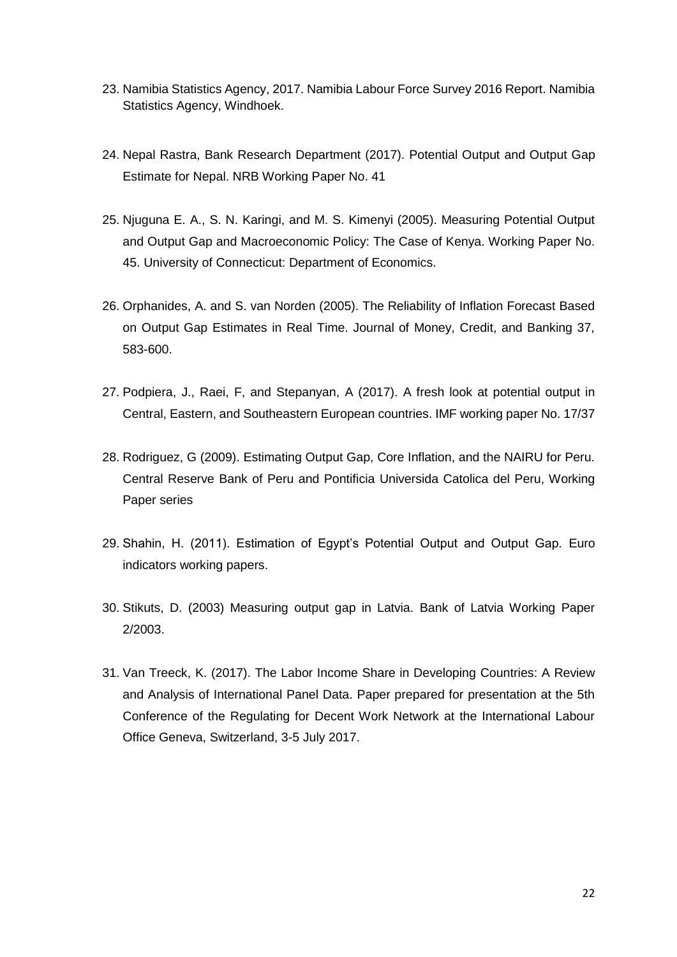- 23. Namibia Statistics Agency, 2017. Namibia Labour Force Survey 2016 Report. Namibia Statistics Agency, Windhoek.
- 24. Nepal Rastra, Bank Research Department (2017). Potential Output and Output Gap Estimate for Nepal. NRB Working Paper No. 41
- 25. Njuguna E. A., S. N. Karingi, and M. S. Kimenyi (2005). Measuring Potential Output and Output Gap and Macroeconomic Policy: The Case of Kenya. Working Paper No. 45. University of Connecticut: Department of Economics.
- 26. Orphanides, A. and S. van Norden (2005). The Reliability of Inflation Forecast Based on Output Gap Estimates in Real Time. Journal of Money, Credit, and Banking 37, 583-600.
- 27. Podpiera, J., Raei, F, and Stepanyan, A (2017). A fresh look at potential output in Central, Eastern, and Southeastern European countries. IMF working paper No. 17/37
- 28. Rodriguez, G (2009). Estimating Output Gap, Core Inflation, and the NAIRU for Peru. Central Reserve Bank of Peru and Pontificia Universida Catolica del Peru, Working Paper series
- 29. Shahin, H. (2011). Estimation of Egypt's Potential Output and Output Gap. Euro indicators working papers.
- 30. Stikuts, D. (2003) Measuring output gap in Latvia. Bank of Latvia Working Paper 2/2003.
- 31. Van Treeck, K. (2017). The Labor Income Share in Developing Countries: A Review and Analysis of International Panel Data. Paper prepared for presentation at the 5th Conference of the Regulating for Decent Work Network at the International Labour Office Geneva, Switzerland, 3-5 July 2017.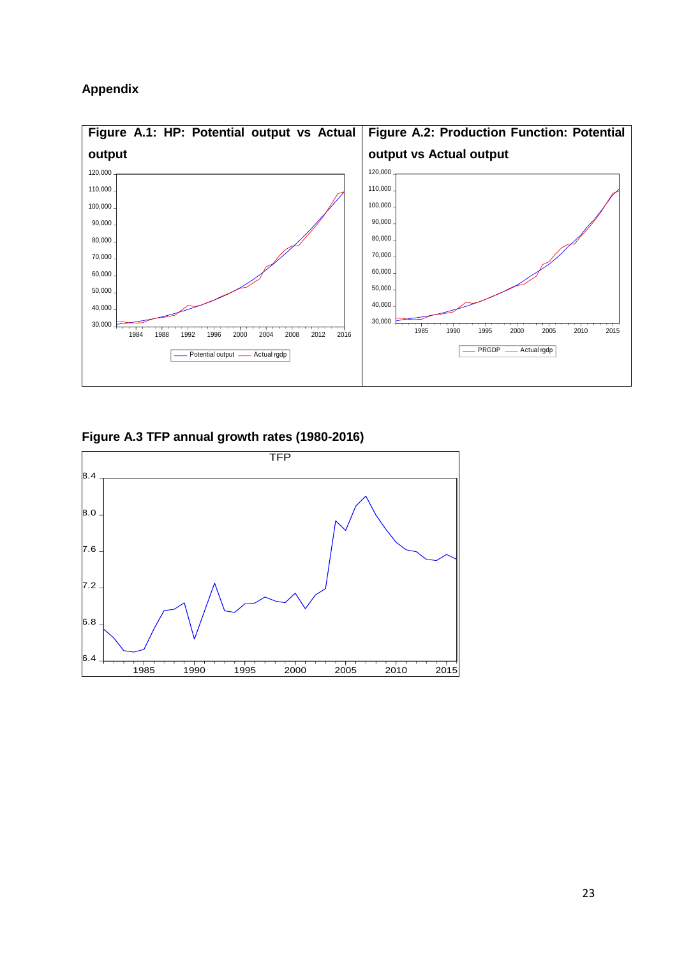### **Appendix**



**Figure A.3 TFP annual growth rates (1980-2016)**